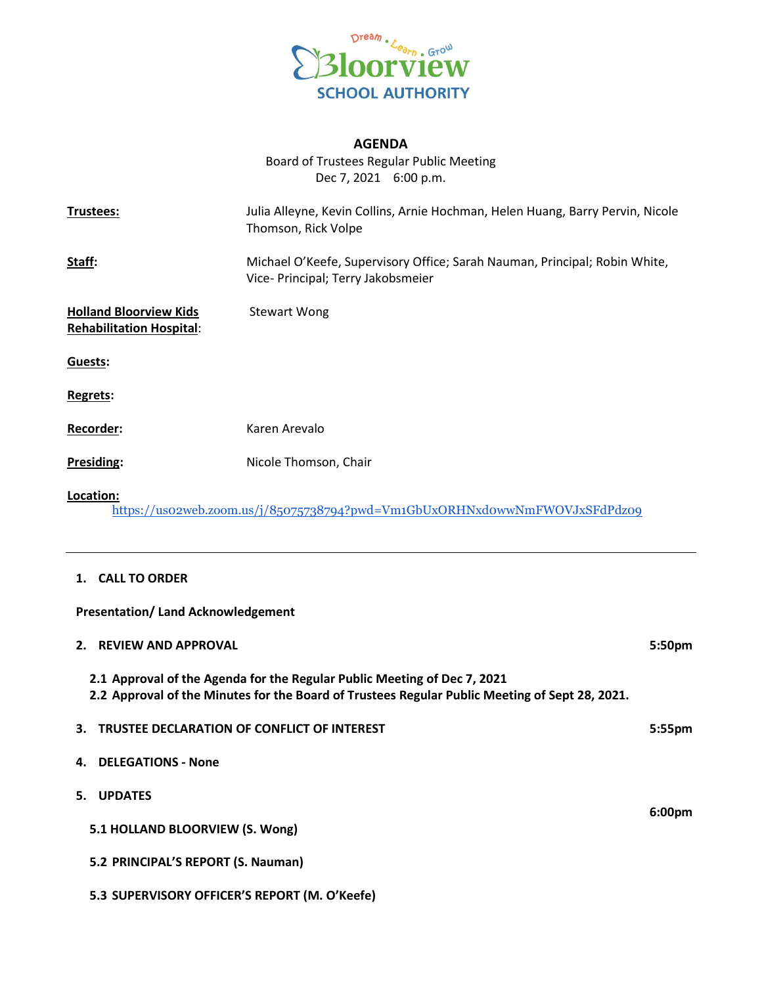

# **AGENDA**

Board of Trustees Regular Public Meeting Dec 7, 2021 6:00 p.m.

| Trustees:                                                        | Julia Alleyne, Kevin Collins, Arnie Hochman, Helen Huang, Barry Pervin, Nicole<br>Thomson, Rick Volpe            |
|------------------------------------------------------------------|------------------------------------------------------------------------------------------------------------------|
| Staff:                                                           | Michael O'Keefe, Supervisory Office; Sarah Nauman, Principal; Robin White,<br>Vice- Principal; Terry Jakobsmeier |
| <b>Holland Bloorview Kids</b><br><b>Rehabilitation Hospital:</b> | <b>Stewart Wong</b>                                                                                              |
| Guests:                                                          |                                                                                                                  |
| Regrets:                                                         |                                                                                                                  |
| <b>Recorder:</b>                                                 | Karen Arevalo                                                                                                    |
| Presiding:                                                       | Nicole Thomson, Chair                                                                                            |
| Location:                                                        | https://uso2web.zoom.us/j/85075738794?pwd=Vm1GbUxORHNxdowwNmFWOVJxSFdPdzo9                                       |

## **1. CALL TO ORDER**

**Presentation/ Land Acknowledgement**

| 2. REVIEW AND APPROVAL                                                                                                                                                     | 5:50 <sub>pm</sub> |
|----------------------------------------------------------------------------------------------------------------------------------------------------------------------------|--------------------|
| 2.1 Approval of the Agenda for the Regular Public Meeting of Dec 7, 2021<br>2.2 Approval of the Minutes for the Board of Trustees Regular Public Meeting of Sept 28, 2021. |                    |
| 3. TRUSTEE DECLARATION OF CONFLICT OF INTEREST                                                                                                                             | $5:55$ pm          |
| 4. DELEGATIONS - None                                                                                                                                                      |                    |
| 5. UPDATES                                                                                                                                                                 |                    |
| 5.1 HOLLAND BLOORVIEW (S. Wong)                                                                                                                                            | 6:00 <sub>pm</sub> |
| 5.2 PRINCIPAL'S REPORT (S. Nauman)                                                                                                                                         |                    |
| 5.3 SUPERVISORY OFFICER'S REPORT (M. O'Keefe)                                                                                                                              |                    |